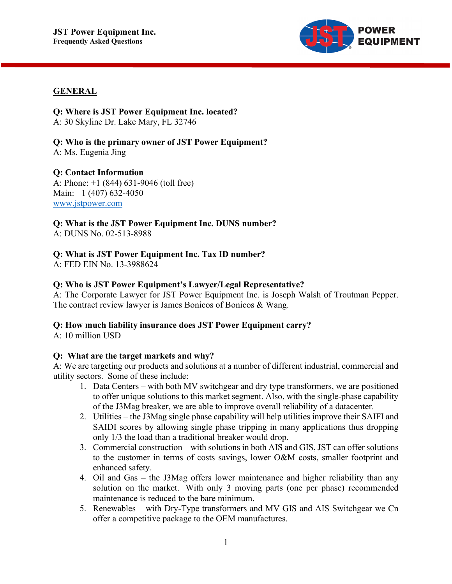

## **GENERAL**

**Q: Where is JST Power Equipment Inc. located?** A: 30 Skyline Dr. Lake Mary, FL 32746

**Q: Who is the primary owner of JST Power Equipment?** A: Ms. Eugenia Jing

#### **Q: Contact Information**

A: Phone: +1 (844) 631-9046 (toll free) Main: +1 (407) 632-4050 [www.jstpower.com](http://www.jstpower.com/)

**Q: What is the JST Power Equipment Inc. DUNS number?** A: DUNS No. 02-513-8988

## **Q: What is JST Power Equipment Inc. Tax ID number?**

A: FED EIN No. 13-3988624

#### **Q: Who is JST Power Equipment's Lawyer/Legal Representative?**

A: The Corporate Lawyer for JST Power Equipment Inc. is Joseph Walsh of Troutman Pepper. The contract review lawyer is James Bonicos of Bonicos & Wang.

#### **Q: How much liability insurance does JST Power Equipment carry?**

A: 10 million USD

#### **Q: What are the target markets and why?**

A: We are targeting our products and solutions at a number of different industrial, commercial and utility sectors. Some of these include:

- 1. Data Centers with both MV switchgear and dry type transformers, we are positioned to offer unique solutions to this market segment. Also, with the single-phase capability of the J3Mag breaker, we are able to improve overall reliability of a datacenter.
- 2. Utilities the J3Mag single phase capability will help utilities improve their SAIFI and SAIDI scores by allowing single phase tripping in many applications thus dropping only 1/3 the load than a traditional breaker would drop.
- 3. Commercial construction with solutions in both AIS and GIS, JST can offer solutions to the customer in terms of costs savings, lower O&M costs, smaller footprint and enhanced safety.
- 4. Oil and Gas the J3Mag offers lower maintenance and higher reliability than any solution on the market. With only 3 moving parts (one per phase) recommended maintenance is reduced to the bare minimum.
- 5. Renewables with Dry-Type transformers and MV GIS and AIS Switchgear we Cn offer a competitive package to the OEM manufactures.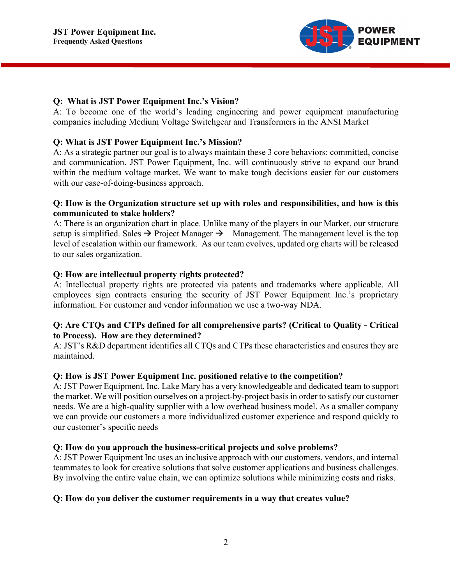

#### **Q: What is JST Power Equipment Inc.'s Vision?**

A: To become one of the world's leading engineering and power equipment manufacturing companies including Medium Voltage Switchgear and Transformers in the ANSI Market

## **Q: What is JST Power Equipment Inc.'s Mission?**

A: As a strategic partner our goal is to always maintain these 3 core behaviors: committed, concise and communication. JST Power Equipment, Inc. will continuously strive to expand our brand within the medium voltage market. We want to make tough decisions easier for our customers with our ease-of-doing-business approach.

#### **Q: How is the Organization structure set up with roles and responsibilities, and how is this communicated to stake holders?**

A: There is an organization chart in place. Unlike many of the players in our Market, our structure setup is simplified. Sales  $\rightarrow$  Project Manager  $\rightarrow$  Management. The management level is the top level of escalation within our framework. As our team evolves, updated org charts will be released to our sales organization.

## **Q: How are intellectual property rights protected?**

A: Intellectual property rights are protected via patents and trademarks where applicable. All employees sign contracts ensuring the security of JST Power Equipment Inc.'s proprietary information. For customer and vendor information we use a two-way NDA.

# **Q: Are CTQs and CTPs defined for all comprehensive parts? (Critical to Quality - Critical to Process). How are they determined?**

A: JST's R&D department identifies all CTQs and CTPs these characteristics and ensures they are maintained.

#### **Q: How is JST Power Equipment Inc. positioned relative to the competition?**

A: JST Power Equipment, Inc. Lake Mary has a very knowledgeable and dedicated team to support the market. We will position ourselves on a project-by-project basis in order to satisfy our customer needs. We are a high-quality supplier with a low overhead business model. As a smaller company we can provide our customers a more individualized customer experience and respond quickly to our customer's specific needs

#### **Q: How do you approach the business-critical projects and solve problems?**

A: JST Power Equipment Inc uses an inclusive approach with our customers, vendors, and internal teammates to look for creative solutions that solve customer applications and business challenges. By involving the entire value chain, we can optimize solutions while minimizing costs and risks.

#### **Q: How do you deliver the customer requirements in a way that creates value?**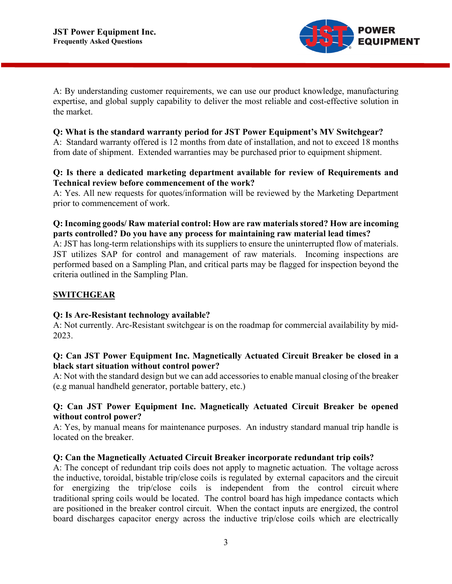

A: By understanding customer requirements, we can use our product knowledge, manufacturing expertise, and global supply capability to deliver the most reliable and cost-effective solution in the market.

#### **Q: What is the standard warranty period for JST Power Equipment's MV Switchgear?**

A: Standard warranty offered is 12 months from date of installation, and not to exceed 18 months from date of shipment. Extended warranties may be purchased prior to equipment shipment.

#### **Q: Is there a dedicated marketing department available for review of Requirements and Technical review before commencement of the work?**

A: Yes. All new requests for quotes/information will be reviewed by the Marketing Department prior to commencement of work.

# **Q: Incoming goods/ Raw material control: How are raw materials stored? How are incoming parts controlled? Do you have any process for maintaining raw material lead times?**

A: JST has long-term relationships with its suppliers to ensure the uninterrupted flow of materials. JST utilizes SAP for control and management of raw materials. Incoming inspections are performed based on a Sampling Plan, and critical parts may be flagged for inspection beyond the criteria outlined in the Sampling Plan.

# **SWITCHGEAR**

# **Q: Is Arc-Resistant technology available?**

A: Not currently. Arc-Resistant switchgear is on the roadmap for commercial availability by mid-2023.

## **Q: Can JST Power Equipment Inc. Magnetically Actuated Circuit Breaker be closed in a black start situation without control power?**

A: Not with the standard design but we can add accessories to enable manual closing of the breaker (e.g manual handheld generator, portable battery, etc.)

# **Q: Can JST Power Equipment Inc. Magnetically Actuated Circuit Breaker be opened without control power?**

A: Yes, by manual means for maintenance purposes. An industry standard manual trip handle is located on the breaker.

#### **Q: Can the Magnetically Actuated Circuit Breaker incorporate redundant trip coils?**

A: The concept of redundant trip coils does not apply to magnetic actuation. The voltage across the inductive, toroidal, bistable trip/close coils is regulated by external capacitors and the circuit for energizing the trip/close coils is independent from the control circuit where traditional spring coils would be located. The control board has high impedance contacts which are positioned in the breaker control circuit. When the contact inputs are energized, the control board discharges capacitor energy across the inductive trip/close coils which are electrically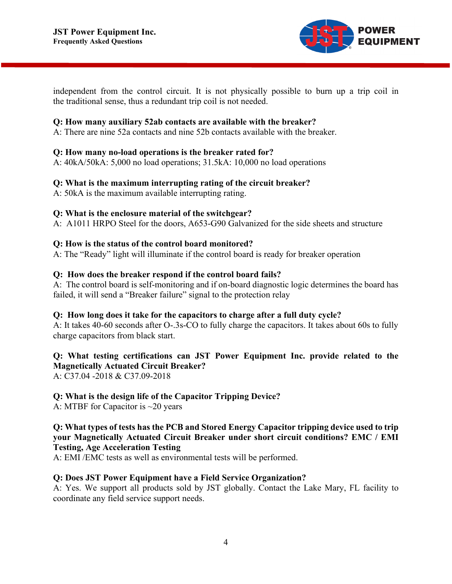

independent from the control circuit. It is not physically possible to burn up a trip coil in the traditional sense, thus a redundant trip coil is not needed.

#### **Q: How many auxiliary 52ab contacts are available with the breaker?**

A: There are nine 52a contacts and nine 52b contacts available with the breaker.

#### **Q: How many no-load operations is the breaker rated for?**

A: 40kA/50kA: 5,000 no load operations; 31.5kA: 10,000 no load operations

#### **Q: What is the maximum interrupting rating of the circuit breaker?**

A: 50kA is the maximum available interrupting rating.

#### **Q: What is the enclosure material of the switchgear?**

A: A1011 HRPO Steel for the doors, A653-G90 Galvanized for the side sheets and structure

#### **Q: How is the status of the control board monitored?**

A: The "Ready" light will illuminate if the control board is ready for breaker operation

#### **Q: How does the breaker respond if the control board fails?**

A: The control board is self-monitoring and if on-board diagnostic logic determines the board has failed, it will send a "Breaker failure" signal to the protection relay

#### **Q: How long does it take for the capacitors to charge after a full duty cycle?**

A: It takes 40-60 seconds after O-.3s-CO to fully charge the capacitors. It takes about 60s to fully charge capacitors from black start.

#### **Q: What testing certifications can JST Power Equipment Inc. provide related to the Magnetically Actuated Circuit Breaker?**

A: C37.04 -2018 & C37.09-2018

#### **Q: What is the design life of the Capacitor Tripping Device?**

A: MTBF for Capacitor is ~20 years

## **Q: What types of tests has the PCB and Stored Energy Capacitor tripping device used to trip your Magnetically Actuated Circuit Breaker under short circuit conditions? EMC / EMI Testing, Age Acceleration Testing**

A: EMI /EMC tests as well as environmental tests will be performed.

#### **Q: Does JST Power Equipment have a Field Service Organization?**

A: Yes. We support all products sold by JST globally. Contact the Lake Mary, FL facility to coordinate any field service support needs.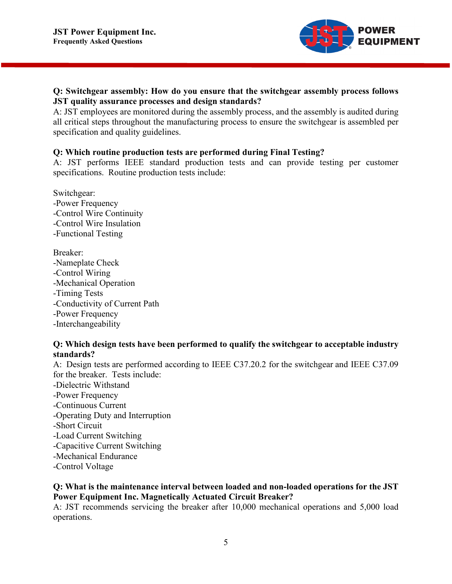

# **Q: Switchgear assembly: How do you ensure that the switchgear assembly process follows JST quality assurance processes and design standards?**

A: JST employees are monitored during the assembly process, and the assembly is audited during all critical steps throughout the manufacturing process to ensure the switchgear is assembled per specification and quality guidelines.

## **Q: Which routine production tests are performed during Final Testing?**

A: JST performs IEEE standard production tests and can provide testing per customer specifications. Routine production tests include:

Switchgear: -Power Frequency -Control Wire Continuity -Control Wire Insulation -Functional Testing

Breaker: -Nameplate Check -Control Wiring -Mechanical Operation -Timing Tests -Conductivity of Current Path -Power Frequency -Interchangeability

## **Q: Which design tests have been performed to qualify the switchgear to acceptable industry standards?**

A: Design tests are performed according to IEEE C37.20.2 for the switchgear and IEEE C37.09 for the breaker. Tests include: -Dielectric Withstand -Power Frequency -Continuous Current -Operating Duty and Interruption -Short Circuit -Load Current Switching -Capacitive Current Switching -Mechanical Endurance -Control Voltage

## **Q: What is the maintenance interval between loaded and non-loaded operations for the JST Power Equipment Inc. Magnetically Actuated Circuit Breaker?**

A: JST recommends servicing the breaker after 10,000 mechanical operations and 5,000 load operations.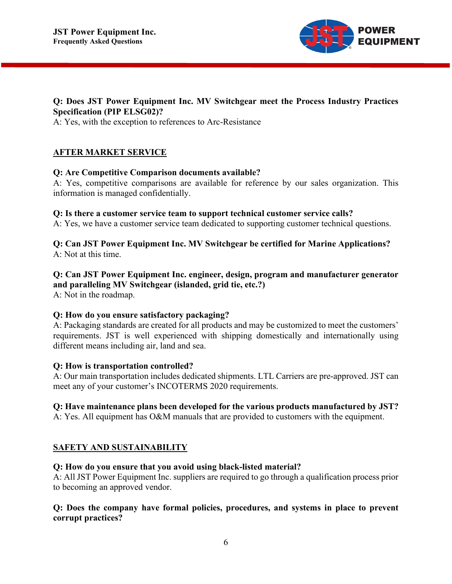

# **Q: Does JST Power Equipment Inc. MV Switchgear meet the Process Industry Practices Specification (PIP ELSG02)?**

A: Yes, with the exception to references to Arc-Resistance

# **AFTER MARKET SERVICE**

## **Q: Are Competitive Comparison documents available?**

A: Yes, competitive comparisons are available for reference by our sales organization. This information is managed confidentially.

#### **Q: Is there a customer service team to support technical customer service calls?**

A: Yes, we have a customer service team dedicated to supporting customer technical questions.

## **Q: Can JST Power Equipment Inc. MV Switchgear be certified for Marine Applications?** A: Not at this time.

# **Q: Can JST Power Equipment Inc. engineer, design, program and manufacturer generator and paralleling MV Switchgear (islanded, grid tie, etc.?)**

A: Not in the roadmap.

#### **Q: How do you ensure satisfactory packaging?**

A: Packaging standards are created for all products and may be customized to meet the customers' requirements. JST is well experienced with shipping domestically and internationally using different means including air, land and sea.

#### **Q: How is transportation controlled?**

A: Our main transportation includes dedicated shipments. LTL Carriers are pre-approved. JST can meet any of your customer's INCOTERMS 2020 requirements.

# **Q: Have maintenance plans been developed for the various products manufactured by JST?**

A: Yes. All equipment has O&M manuals that are provided to customers with the equipment.

# **SAFETY AND SUSTAINABILITY**

# **Q: How do you ensure that you avoid using black-listed material?**

A: All JST Power Equipment Inc. suppliers are required to go through a qualification process prior to becoming an approved vendor.

## **Q: Does the company have formal policies, procedures, and systems in place to prevent corrupt practices?**